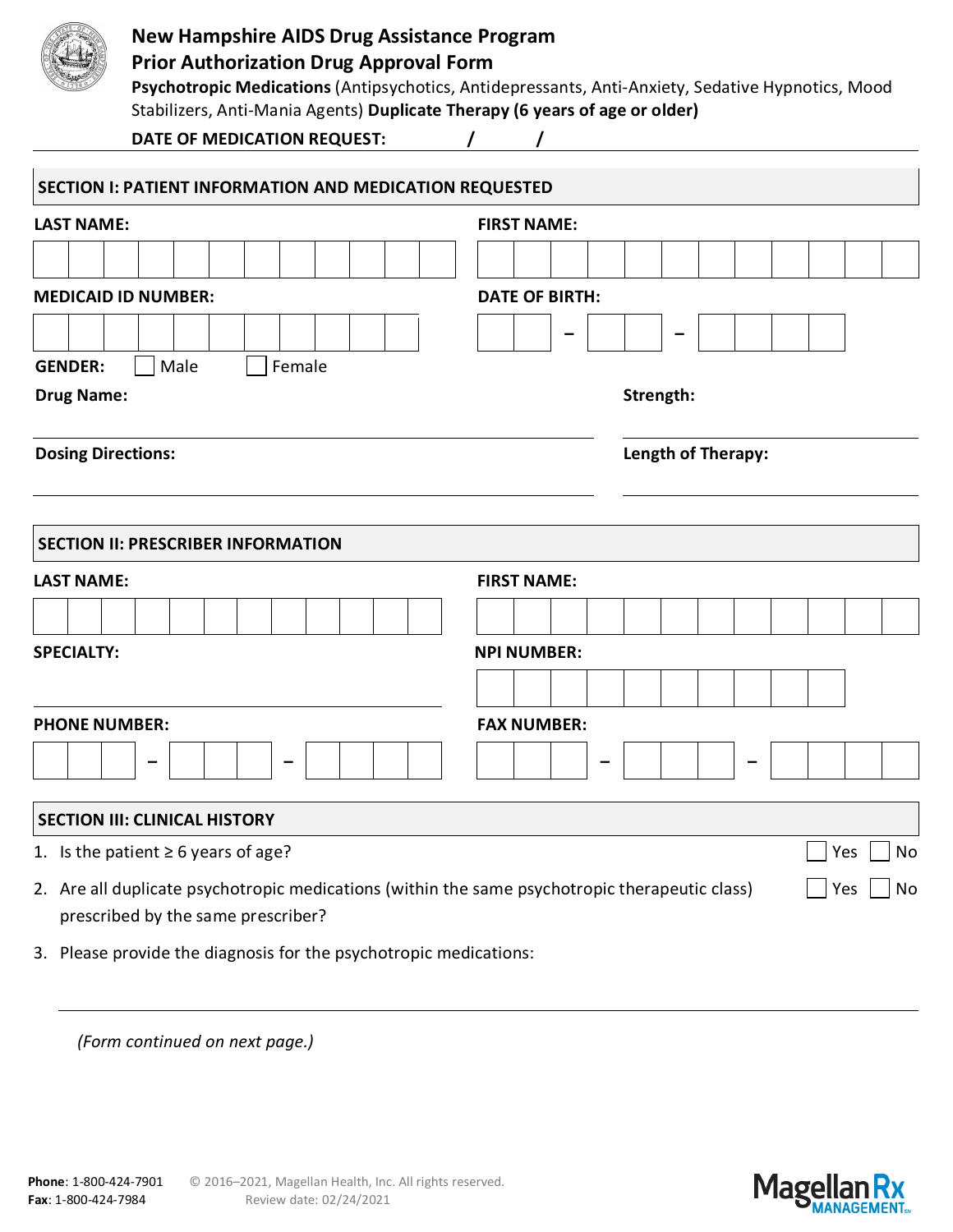

## **New Hampshire AIDS Drug Assistance Program**

## **Prior Authorization Drug Approval Form**

**Psychotropic Medications** (Antipsychotics, Antidepressants, Anti-Anxiety, Sedative Hypnotics, Mood Stabilizers, Anti-Mania Agents) **Duplicate Therapy (6 years of age or older)**

| DATE OF MEDICATION REQUEST: |  |
|-----------------------------|--|
|                             |  |

| SECTION I: PATIENT INFORMATION AND MEDICATION REQUESTED                                                                              |                       |  |  |  |  |  |  |  |  |  |  |  |  |  |
|--------------------------------------------------------------------------------------------------------------------------------------|-----------------------|--|--|--|--|--|--|--|--|--|--|--|--|--|
| <b>LAST NAME:</b>                                                                                                                    | <b>FIRST NAME:</b>    |  |  |  |  |  |  |  |  |  |  |  |  |  |
|                                                                                                                                      |                       |  |  |  |  |  |  |  |  |  |  |  |  |  |
| <b>MEDICAID ID NUMBER:</b>                                                                                                           | <b>DATE OF BIRTH:</b> |  |  |  |  |  |  |  |  |  |  |  |  |  |
|                                                                                                                                      |                       |  |  |  |  |  |  |  |  |  |  |  |  |  |
| Female<br><b>GENDER:</b><br>Male                                                                                                     |                       |  |  |  |  |  |  |  |  |  |  |  |  |  |
| <b>Drug Name:</b>                                                                                                                    | Strength:             |  |  |  |  |  |  |  |  |  |  |  |  |  |
| <b>Dosing Directions:</b>                                                                                                            | Length of Therapy:    |  |  |  |  |  |  |  |  |  |  |  |  |  |
|                                                                                                                                      |                       |  |  |  |  |  |  |  |  |  |  |  |  |  |
| <b>SECTION II: PRESCRIBER INFORMATION</b>                                                                                            |                       |  |  |  |  |  |  |  |  |  |  |  |  |  |
| <b>LAST NAME:</b>                                                                                                                    | <b>FIRST NAME:</b>    |  |  |  |  |  |  |  |  |  |  |  |  |  |
|                                                                                                                                      |                       |  |  |  |  |  |  |  |  |  |  |  |  |  |
| <b>SPECIALTY:</b>                                                                                                                    | <b>NPI NUMBER:</b>    |  |  |  |  |  |  |  |  |  |  |  |  |  |
|                                                                                                                                      |                       |  |  |  |  |  |  |  |  |  |  |  |  |  |
| <b>PHONE NUMBER:</b>                                                                                                                 | <b>FAX NUMBER:</b>    |  |  |  |  |  |  |  |  |  |  |  |  |  |
|                                                                                                                                      |                       |  |  |  |  |  |  |  |  |  |  |  |  |  |
| <b>SECTION III: CLINICAL HISTORY</b>                                                                                                 |                       |  |  |  |  |  |  |  |  |  |  |  |  |  |
| 1. Is the patient $\geq 6$ years of age?                                                                                             | <b>No</b><br>Yes      |  |  |  |  |  |  |  |  |  |  |  |  |  |
| 2. Are all duplicate psychotropic medications (within the same psychotropic therapeutic class)<br>prescribed by the same prescriber? | No<br>Yes             |  |  |  |  |  |  |  |  |  |  |  |  |  |
| 3. Please provide the diagnosis for the psychotropic medications:                                                                    |                       |  |  |  |  |  |  |  |  |  |  |  |  |  |

*(Form continued on next page.)*